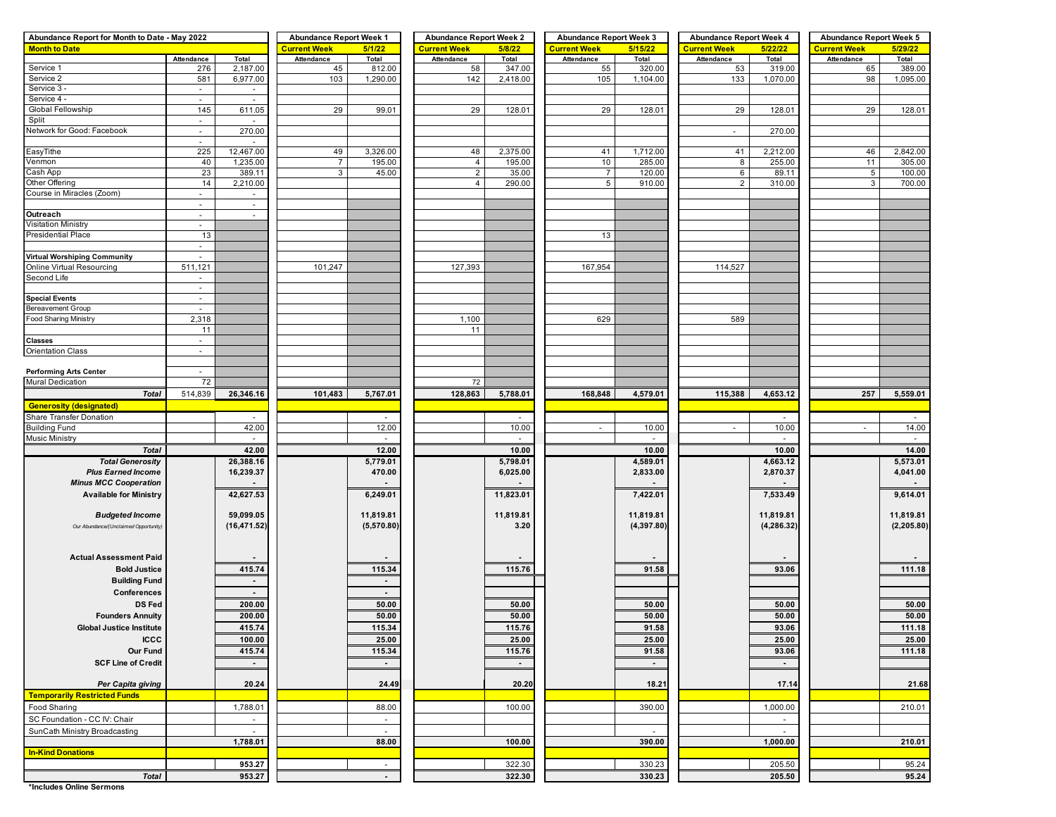| Abundance Report for Month to Date - May 2022 | <b>Abundance Report Week 1</b>  |                          | <b>Abundance Report Week 2</b> |                          | <b>Abundance Report Week 3</b> |           | <b>Abundance Report Week 4</b> |                    | <b>Abundance Report Week 5</b> |                    |                     |             |
|-----------------------------------------------|---------------------------------|--------------------------|--------------------------------|--------------------------|--------------------------------|-----------|--------------------------------|--------------------|--------------------------------|--------------------|---------------------|-------------|
| <b>Month to Date</b>                          |                                 |                          | <b>Current Week</b>            | 5/1/22                   | <b>Current Week</b>            | 5/8/22    | <b>Current Week</b>            | 5/15/22            | <b>Current Week</b>            | 5/22/22            | <b>Current Week</b> | 5/29/22     |
|                                               | Attendance                      | Total                    | Attendance                     | Total                    | Attendance                     | Total     | Attendance                     | Total              | Attendance                     | Total              | Attendance          | Total       |
| Service 1                                     | 276                             | 2,187.00                 | 45                             | 812.00                   | 58                             | 347.00    | 55                             | 320.00             | 53                             | 319.00             | 65                  | 389.00      |
| Service 2                                     | 581                             | 6,977.00                 | 103                            | 1,290.00                 | 142                            | 2,418.00  | 105                            | 1,104.00           | 133                            | 1,070.00           | 98                  | 1,095.00    |
| Service 3 -                                   | $\blacksquare$                  | $\sim$                   |                                |                          |                                |           |                                |                    |                                |                    |                     |             |
| Service 4 -                                   | ×.                              | $\sim$                   |                                |                          |                                |           |                                |                    |                                |                    |                     |             |
| Global Fellowship                             | 145                             | 611.05                   | 29                             | 99.01                    | 29                             | 128.01    | 29                             | 128.01             | 29                             | 128.01             | 29                  | 128.01      |
| Split                                         | $\overline{\phantom{a}}$        | $\overline{\phantom{a}}$ |                                |                          |                                |           |                                |                    |                                |                    |                     |             |
| Network for Good: Facebook                    | $\sim$                          | 270.00                   |                                |                          |                                |           |                                |                    | $\sim$                         | 270.00             |                     |             |
| EasyTithe                                     | $\overline{\phantom{a}}$<br>225 | $\sim$                   | 49                             | 3,326.00                 |                                | 2,375.00  | 41                             |                    |                                |                    |                     | 2,842.00    |
| Venmon                                        | 40                              | 12,467.00<br>1,235.00    | $\overline{7}$                 | 195.00                   | 48<br>4                        | 195.00    | 10                             | 1,712.00<br>285.00 | 41<br>8                        | 2,212.00<br>255.00 | 46<br>11            | 305.00      |
| Cash App                                      | 23                              | 389.11                   | 3                              | 45.00                    | $\boldsymbol{2}$               | 35.00     | $\overline{7}$                 | 120.00             | 6                              | 89.11              | $\sqrt{5}$          | 100.00      |
| Other Offering                                | 14                              | 2,210.00                 |                                |                          | $\overline{4}$                 | 290.00    | 5                              | 910.00             | 2                              | 310.00             | $\mathbf{3}$        | 700.00      |
| Course in Miracles (Zoom)                     | $\sim$                          | $\sim$                   |                                |                          |                                |           |                                |                    |                                |                    |                     |             |
|                                               | ÷,                              | $\sim$                   |                                |                          |                                |           |                                |                    |                                |                    |                     |             |
| Outreach                                      | $\sim$                          | $\sim$                   |                                |                          |                                |           |                                |                    |                                |                    |                     |             |
| Visitation Ministry                           | $\blacksquare$                  |                          |                                |                          |                                |           |                                |                    |                                |                    |                     |             |
| <b>Presidential Place</b>                     | 13                              |                          |                                |                          |                                |           | 13                             |                    |                                |                    |                     |             |
|                                               | $\overline{\phantom{a}}$        |                          |                                |                          |                                |           |                                |                    |                                |                    |                     |             |
| Virtual Worshiping Community                  |                                 |                          |                                |                          |                                |           |                                |                    |                                |                    |                     |             |
| Online Virtual Resourcing                     | 511,121                         |                          | 101,247                        |                          | 127,393                        |           | 167,954                        |                    | 114,527                        |                    |                     |             |
| Second Life                                   | $\overline{\phantom{a}}$        |                          |                                |                          |                                |           |                                |                    |                                |                    |                     |             |
|                                               | $\sim$                          |                          |                                |                          |                                |           |                                |                    |                                |                    |                     |             |
| <b>Special Events</b>                         | $\sim$                          |                          |                                |                          |                                |           |                                |                    |                                |                    |                     |             |
| Bereavement Group                             |                                 |                          |                                |                          |                                |           |                                |                    |                                |                    |                     |             |
| Food Sharing Ministry                         | 2,318                           |                          |                                |                          | 1,100                          |           | 629                            |                    | 589                            |                    |                     |             |
|                                               | 11                              |                          |                                |                          | 11                             |           |                                |                    |                                |                    |                     |             |
| <b>Classes</b>                                | ä,                              |                          |                                |                          |                                |           |                                |                    |                                |                    |                     |             |
| <b>Orientation Class</b>                      | $\blacksquare$                  |                          |                                |                          |                                |           |                                |                    |                                |                    |                     |             |
|                                               |                                 |                          |                                |                          |                                |           |                                |                    |                                |                    |                     |             |
| <b>Performing Arts Center</b>                 | $\sim$                          |                          |                                |                          |                                |           |                                |                    |                                |                    |                     |             |
| <b>Mural Dedication</b>                       | 72                              |                          |                                |                          | 72                             |           |                                |                    |                                |                    |                     |             |
| <b>Total</b>                                  | 514,839                         | 26,346.16                | 101,483                        | 5,767.01                 | 128,863                        | 5,788.01  | 168,848                        | 4,579.01           | 115,388                        | 4,653.12           | 257                 | 5,559.01    |
| <b>Generosity (designated)</b>                |                                 |                          |                                |                          |                                |           |                                |                    |                                |                    |                     |             |
| Share Transfer Donation                       |                                 |                          |                                | $\overline{\phantom{a}}$ |                                | ٠         |                                |                    |                                | $\sim$             |                     |             |
| <b>Building Fund</b>                          |                                 | 42.00                    |                                | 12.00                    |                                | 10.00     | ×.                             | 10.00              | ÷                              | 10.00              | $\sim$              | 14.00       |
| Music Ministry                                |                                 | $\sim$                   |                                | $\sim$                   |                                | $\sim$    |                                |                    |                                | $\sim$             |                     | $\sim$      |
| <b>Total</b>                                  |                                 | 42.00                    |                                | 12.00                    |                                | 10.00     |                                | 10.00              |                                | 10.00              |                     | 14.00       |
| <b>Total Generosity</b>                       |                                 | 26,388.16                |                                | 5,779.01                 |                                | 5,798.01  |                                | 4,589.01           |                                | 4,663.12           |                     | 5,573.01    |
| <b>Plus Earned Income</b>                     |                                 | 16,239.37                |                                | 470.00                   |                                | 6,025.00  |                                | 2,833.00           |                                | 2,870.37           |                     | 4,041.00    |
| <b>Minus MCC Cooperation</b>                  |                                 |                          |                                |                          |                                |           |                                |                    |                                |                    |                     |             |
| <b>Available for Ministry</b>                 |                                 | 42,627.53                |                                | 6,249.01                 |                                | 11,823.01 |                                | 7,422.01           |                                | 7,533.49           |                     | 9,614.01    |
|                                               |                                 |                          |                                |                          |                                |           |                                |                    |                                |                    |                     |             |
| <b>Budgeted Income</b>                        |                                 | 59,099.05                |                                | 11,819.81                |                                | 11,819.81 |                                | 11,819.81          |                                | 11,819.81          |                     | 11,819.81   |
| Our Abundance/(Unclaimed Opportunity)         |                                 | (16, 471.52)             |                                | (5,570.80)               |                                | 3.20      |                                | (4, 397.80)        |                                | (4, 286.32)        |                     | (2, 205.80) |
|                                               |                                 |                          |                                |                          |                                |           |                                |                    |                                |                    |                     |             |
|                                               |                                 |                          |                                |                          |                                |           |                                |                    |                                |                    |                     |             |
| <b>Actual Assessment Paid</b>                 |                                 |                          |                                |                          |                                |           |                                |                    |                                |                    |                     |             |
| <b>Bold Justice</b>                           |                                 | 415.74                   |                                | 115.34                   |                                | 115.76    |                                | 91.58              |                                | 93.06              |                     | 111.18      |
| <b>Building Fund</b>                          |                                 | $\sim$                   |                                |                          |                                |           |                                |                    |                                |                    |                     |             |
| Conferences                                   |                                 | $\sim$                   |                                | $\sim$                   |                                |           |                                |                    |                                |                    |                     |             |
| <b>DS Fed</b>                                 |                                 | 200.00                   |                                | 50.00                    |                                | 50.00     |                                | 50.00              |                                | 50.00              |                     | 50.00       |
| <b>Founders Annuity</b>                       |                                 | 200.00                   |                                | 50.00                    |                                | 50.00     |                                | 50.00              |                                | 50.00              |                     | 50.00       |
| <b>Global Justice Institute</b>               |                                 | 415.74                   |                                | 115.34                   |                                | 115.76    |                                | 91.58              |                                | 93.06              |                     | 111.18      |
| <b>ICCC</b>                                   |                                 | 100.00                   |                                | 25.00                    |                                | 25.00     |                                | 25.00              |                                | 25.00              |                     | 25.00       |
| Our Fund                                      |                                 | 415.74                   |                                | 115.34                   |                                | 115.76    |                                | 91.58              |                                | 93.06              |                     | 111.18      |
| <b>SCF Line of Credit</b>                     |                                 | $\sim$                   |                                | $\sim$                   |                                | $\sim$    |                                | $\sim$             |                                | $\sim$             |                     |             |
|                                               |                                 |                          |                                |                          |                                |           |                                |                    |                                |                    |                     |             |
| Per Capita giving                             |                                 | 20.24                    |                                | 24.49                    |                                | 20.20     |                                | 18.21              |                                | 17.14              |                     | 21.68       |
| <b>Temporarily Restricted Funds</b>           |                                 |                          |                                |                          |                                |           |                                |                    |                                |                    |                     |             |
| Food Sharing                                  |                                 | 1,788.01                 |                                | 88.00                    |                                | 100.00    |                                | 390.00             |                                | 1,000.00           |                     | 210.01      |
| SC Foundation - CC IV: Chair                  |                                 | $\sim$                   |                                | $\sim$                   |                                |           |                                |                    |                                | $\sim$             |                     |             |
| SunCath Ministry Broadcasting                 |                                 | $\sim$                   |                                | $\mathbb{Z}^2$           |                                |           |                                | $\sim$             |                                | $\sim$             |                     |             |
|                                               |                                 | 1,788.01                 |                                | 88.00                    |                                | 100.00    |                                | 390.00             |                                | 1,000.00           |                     | 210.01      |
| <b>In-Kind Donations</b>                      |                                 |                          |                                |                          |                                |           |                                |                    |                                |                    |                     |             |
|                                               |                                 | 953.27                   |                                |                          |                                |           |                                |                    |                                |                    |                     |             |
|                                               |                                 |                          |                                |                          |                                | 322.30    |                                | 330.23             |                                | 205.50             |                     | 95.24       |
| <b>Total</b>                                  |                                 | 953.27                   |                                | $\blacksquare$           |                                | 322.30    |                                | 330.23             |                                | 205.50             |                     | 95.24       |

**\*Includes Online Sermons**